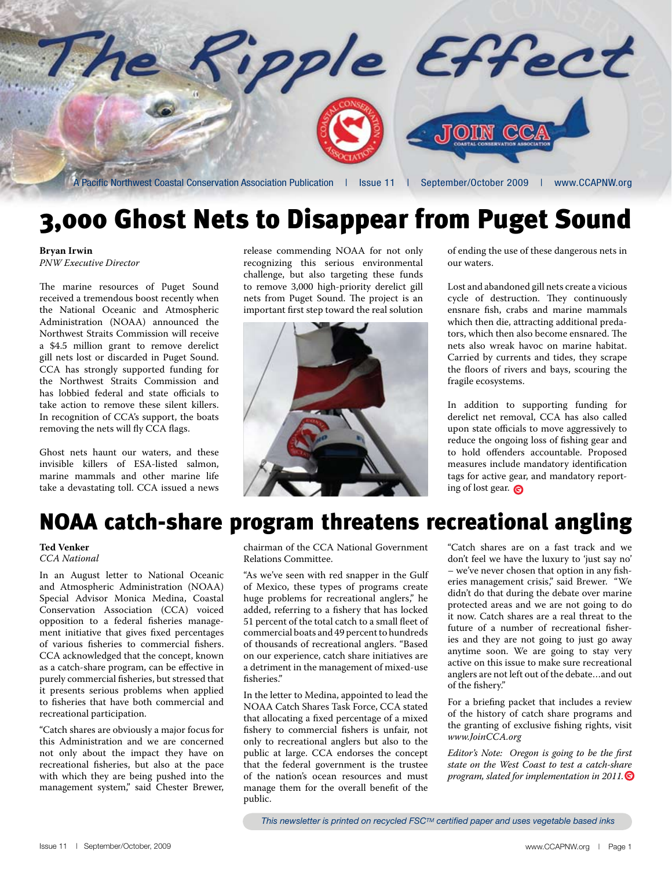

## 3,000 Ghost Nets to Disappear from Puget Sound

**Bryan Irwin** *PNW Executive Director*

The marine resources of Puget Sound received a tremendous boost recently when the National Oceanic and Atmospheric Administration (NOAA) announced the Northwest Straits Commission will receive a \$4.5 million grant to remove derelict gill nets lost or discarded in Puget Sound. CCA has strongly supported funding for the Northwest Straits Commission and has lobbied federal and state officials to take action to remove these silent killers. In recognition of CCA's support, the boats removing the nets will fly CCA flags.

Ghost nets haunt our waters, and these invisible killers of ESA-listed salmon, marine mammals and other marine life take a devastating toll. CCA issued a news release commending NOAA for not only recognizing this serious environmental challenge, but also targeting these funds to remove 3,000 high-priority derelict gill nets from Puget Sound. The project is an important first step toward the real solution



of ending the use of these dangerous nets in our waters.

Lost and abandoned gill nets create a vicious cycle of destruction. They continuously ensnare fish, crabs and marine mammals which then die, attracting additional predators, which then also become ensnared. The nets also wreak havoc on marine habitat. Carried by currents and tides, they scrape the floors of rivers and bays, scouring the fragile ecosystems.

In addition to supporting funding for derelict net removal, CCA has also called upon state officials to move aggressively to reduce the ongoing loss of fishing gear and to hold offenders accountable. Proposed measures include mandatory identification tags for active gear, and mandatory reporting of lost gear.

## NOAA catch-share program threatens recreational angling

#### **Ted Venker** *CCA National*

In an August letter to National Oceanic and Atmospheric Administration (NOAA) Special Advisor Monica Medina, Coastal Conservation Association (CCA) voiced opposition to a federal fisheries management initiative that gives fixed percentages of various fisheries to commercial fishers. CCA acknowledged that the concept, known as a catch-share program, can be effective in purely commercial fisheries, but stressed that it presents serious problems when applied to fisheries that have both commercial and recreational participation.

"Catch shares are obviously a major focus for this Administration and we are concerned not only about the impact they have on recreational fisheries, but also at the pace with which they are being pushed into the management system," said Chester Brewer,

chairman of the CCA National Government Relations Committee.

"As we've seen with red snapper in the Gulf of Mexico, these types of programs create huge problems for recreational anglers," he added, referring to a fishery that has locked 51 percent of the total catch to a small fleet of commercial boats and 49 percent to hundreds of thousands of recreational anglers. "Based on our experience, catch share initiatives are a detriment in the management of mixed-use fisheries."

In the letter to Medina, appointed to lead the NOAA Catch Shares Task Force, CCA stated that allocating a fixed percentage of a mixed fishery to commercial fishers is unfair, not only to recreational anglers but also to the public at large. CCA endorses the concept that the federal government is the trustee of the nation's ocean resources and must manage them for the overall benefit of the public.

"Catch shares are on a fast track and we don't feel we have the luxury to 'just say no' – we've never chosen that option in any fisheries management crisis," said Brewer. "We didn't do that during the debate over marine protected areas and we are not going to do it now. Catch shares are a real threat to the future of a number of recreational fisheries and they are not going to just go away anytime soon. We are going to stay very active on this issue to make sure recreational anglers are not left out of the debate…and out of the fishery."

For a briefing packet that includes a review of the history of catch share programs and the granting of exclusive fishing rights, visit *www.JoinCCA.org*

*Editor's Note: Oregon is going to be the first state on the West Coast to test a catch-share program, slated for implementation in 2011.*

*This newsletter is printed on recycled FSCTM certified paper and uses vegetable based inks*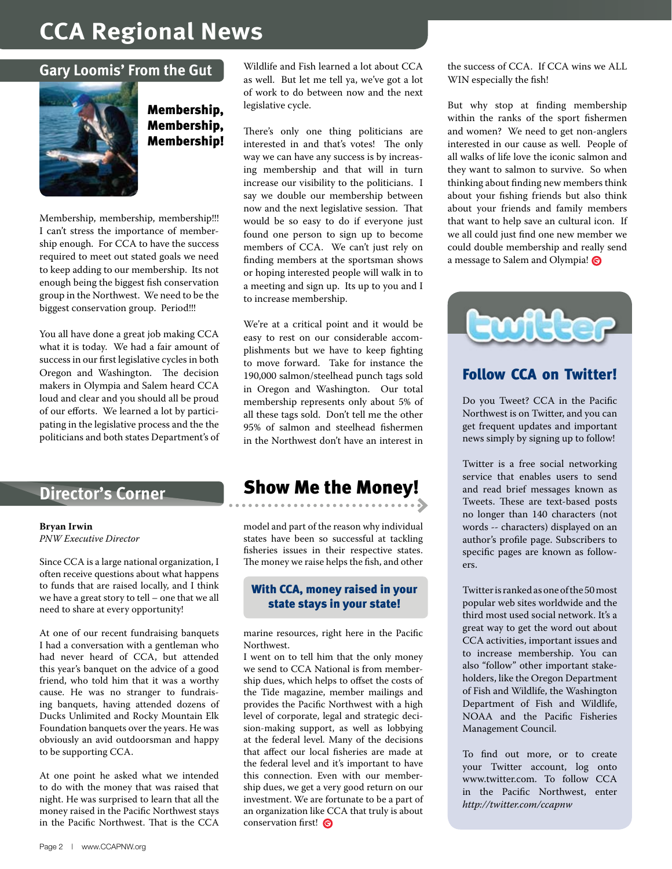## **CCA Regional News**

#### **Gary Loomis' From the Gut**



Membership, Membership, Membership!

Membership, membership, membership!!! I can't stress the importance of membership enough. For CCA to have the success required to meet out stated goals we need to keep adding to our membership. Its not enough being the biggest fish conservation group in the Northwest. We need to be the biggest conservation group. Period!!!

You all have done a great job making CCA what it is today. We had a fair amount of success in our first legislative cycles in both Oregon and Washington. The decision makers in Olympia and Salem heard CCA loud and clear and you should all be proud of our efforts. We learned a lot by participating in the legislative process and the the politicians and both states Department's of

#### **Bryan Irwin**

*PNW Executive Director*

Since CCA is a large national organization, I often receive questions about what happens to funds that are raised locally, and I think we have a great story to tell – one that we all need to share at every opportunity!

At one of our recent fundraising banquets I had a conversation with a gentleman who had never heard of CCA, but attended this year's banquet on the advice of a good friend, who told him that it was a worthy cause. He was no stranger to fundraising banquets, having attended dozens of Ducks Unlimited and Rocky Mountain Elk Foundation banquets over the years. He was obviously an avid outdoorsman and happy to be supporting CCA.

At one point he asked what we intended to do with the money that was raised that night. He was surprised to learn that all the money raised in the Pacific Northwest stays in the Pacific Northwest. That is the CCA

Wildlife and Fish learned a lot about CCA as well. But let me tell ya, we've got a lot of work to do between now and the next legislative cycle.

There's only one thing politicians are interested in and that's votes! The only way we can have any success is by increasing membership and that will in turn increase our visibility to the politicians. I say we double our membership between now and the next legislative session. That would be so easy to do if everyone just found one person to sign up to become members of CCA. We can't just rely on finding members at the sportsman shows or hoping interested people will walk in to a meeting and sign up. Its up to you and I to increase membership.

We're at a critical point and it would be easy to rest on our considerable accomplishments but we have to keep fighting to move forward. Take for instance the 190,000 salmon/steelhead punch tags sold in Oregon and Washington. Our total membership represents only about 5% of all these tags sold. Don't tell me the other 95% of salmon and steelhead fishermen in the Northwest don't have an interest in

## **Director's Corner Show Me the Money!**

model and part of the reason why individual states have been so successful at tackling fisheries issues in their respective states. The money we raise helps the fish, and other

#### With CCA, money raised in your state stays in your state!

marine resources, right here in the Pacific Northwest.

I went on to tell him that the only money we send to CCA National is from membership dues, which helps to offset the costs of the Tide magazine, member mailings and provides the Pacific Northwest with a high level of corporate, legal and strategic decision-making support, as well as lobbying at the federal level. Many of the decisions that affect our local fisheries are made at the federal level and it's important to have this connection. Even with our membership dues, we get a very good return on our investment. We are fortunate to be a part of an organization like CCA that truly is about conservation first!

the success of CCA. If CCA wins we ALL WIN especially the fish!

But why stop at finding membership within the ranks of the sport fishermen and women? We need to get non-anglers interested in our cause as well. People of all walks of life love the iconic salmon and they want to salmon to survive. So when thinking about finding new members think about your fishing friends but also think about your friends and family members that want to help save an cultural icon. If we all could just find one new member we could double membership and really send a message to Salem and Olympia!



#### Follow CCA on Twitter!

Do you Tweet? CCA in the Pacific Northwest is on Twitter, and you can get frequent updates and important news simply by signing up to follow!

Twitter is a free social networking service that enables users to send and read brief messages known as Tweets. These are text-based posts no longer than 140 characters (not words -- characters) displayed on an author's profile page. Subscribers to specific pages are known as followers.

Twitter is ranked as one of the 50 most popular web sites worldwide and the third most used social network. It's a great way to get the word out about CCA activities, important issues and to increase membership. You can also "follow" other important stakeholders, like the Oregon Department of Fish and Wildlife, the Washington Department of Fish and Wildlife, NOAA and the Pacific Fisheries Management Council.

To find out more, or to create your Twitter account, log onto www.twitter.com. To follow CCA in the Pacific Northwest, enter *http://twitter.com/ccapnw*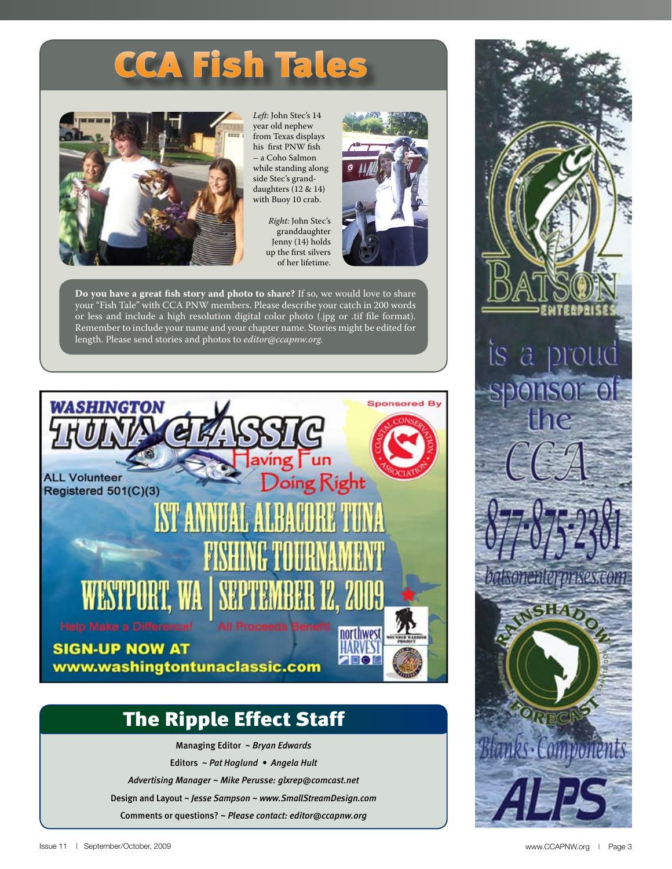# CCA Fish Tales



*Left*: John Stec's 14 year old nephew from Texas displays his first PNW fish – a Coho Salmon while standing along side Stec's granddaughters (12 & 14) with Buoy 10 crab.

*Right*: John Stec's granddaughter Jenny (14) holds up the first silvers of her lifetime.



**Do you have a great fish story and photo to share?** If so, we would love to share your "Fish Tale" with CCA PNW members. Please describe your catch in 200 words or less and include a high resolution digital color photo (.jpg or .tif file format). Remember to include your name and your chapter name. Stories might be edited for length. Please send stories and photos to *editor@ccapnw.org.*



## The Ripple Effect Staff

Managing Editor ~ *Bryan Edwards* Editors ~ *Pat Hoglund • Angela Hult Advertising Manager ~ Mike Perusse: glxrep@comcast.net* Design and Layout ~ *Jesse Sampson ~ www.SmallStreamDesign.com* Comments or questions? ~ *Please contact: editor@ccapnw.org*

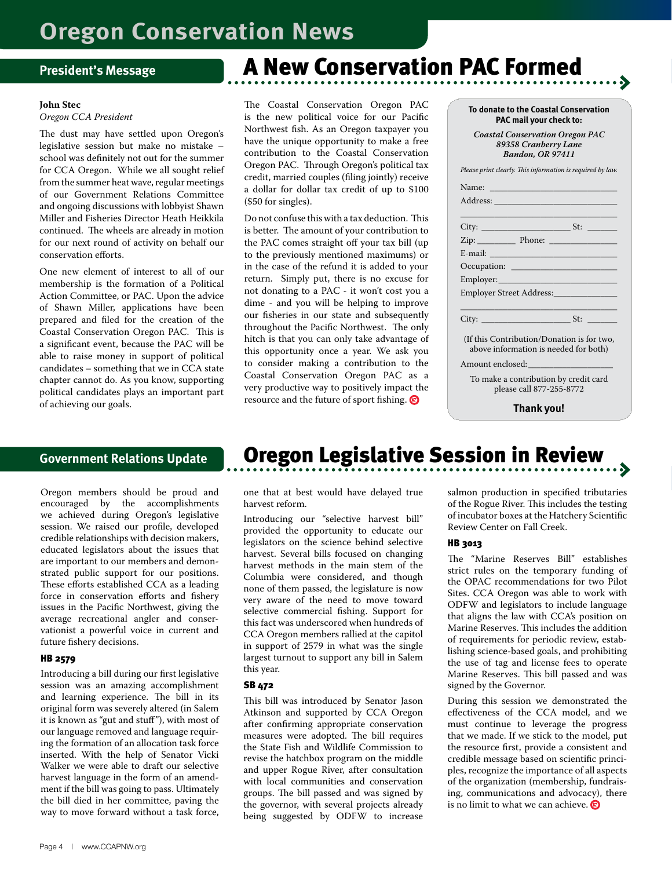#### **President's Message**

#### **John Stec**

#### *Oregon CCA President*

The dust may have settled upon Oregon's legislative session but make no mistake – school was definitely not out for the summer for CCA Oregon. While we all sought relief from the summer heat wave, regular meetings of our Government Relations Committee and ongoing discussions with lobbyist Shawn Miller and Fisheries Director Heath Heikkila continued. The wheels are already in motion for our next round of activity on behalf our conservation efforts.

One new element of interest to all of our membership is the formation of a Political Action Committee, or PAC. Upon the advice of Shawn Miller, applications have been prepared and filed for the creation of the Coastal Conservation Oregon PAC. This is a significant event, because the PAC will be able to raise money in support of political candidates – something that we in CCA state chapter cannot do. As you know, supporting political candidates plays an important part of achieving our goals.

#### **Government Relations Update**

Oregon members should be proud and encouraged by the accomplishments we achieved during Oregon's legislative session. We raised our profile, developed credible relationships with decision makers, educated legislators about the issues that are important to our members and demonstrated public support for our positions. These efforts established CCA as a leading force in conservation efforts and fishery issues in the Pacific Northwest, giving the average recreational angler and conservationist a powerful voice in current and future fishery decisions.

#### HB 2579

Introducing a bill during our first legislative session was an amazing accomplishment and learning experience. The bill in its original form was severely altered (in Salem it is known as "gut and stuff"), with most of our language removed and language requiring the formation of an allocation task force inserted. With the help of Senator Vicki Walker we were able to draft our selective harvest language in the form of an amendment if the bill was going to pass. Ultimately the bill died in her committee, paving the way to move forward without a task force,

## A New Conservation PAC Formed

The Coastal Conservation Oregon PAC is the new political voice for our Pacific Northwest fish. As an Oregon taxpayer you have the unique opportunity to make a free contribution to the Coastal Conservation Oregon PAC. Through Oregon's political tax credit, married couples (filing jointly) receive a dollar for dollar tax credit of up to \$100 (\$50 for singles).

Do not confuse this with a tax deduction. This is better. The amount of your contribution to the PAC comes straight off your tax bill (up to the previously mentioned maximums) or in the case of the refund it is added to your return. Simply put, there is no excuse for not donating to a PAC - it won't cost you a dime - and you will be helping to improve our fisheries in our state and subsequently throughout the Pacific Northwest. The only hitch is that you can only take advantage of this opportunity once a year. We ask you to consider making a contribution to the Coastal Conservation Oregon PAC as a very productive way to positively impact the resource and the future of sport fishing.

| Coastal Conservation Oregon PAC<br>89358 Cranberry Lane<br><b>Bandon, OR 97411</b>                                                                                                                                             |     |
|--------------------------------------------------------------------------------------------------------------------------------------------------------------------------------------------------------------------------------|-----|
| Please print clearly. This information is required by law.                                                                                                                                                                     |     |
|                                                                                                                                                                                                                                |     |
|                                                                                                                                                                                                                                |     |
|                                                                                                                                                                                                                                | St: |
|                                                                                                                                                                                                                                |     |
| E-mail: The Company of the Company of the Company of the Company of the Company of the Company of the Company of the Company of the Company of the Company of the Company of the Company of the Company of the Company of the  |     |
| Occupation: and the contract of the contract of the contract of the contract of the contract of the contract of the contract of the contract of the contract of the contract of the contract of the contract of the contract o |     |
| Employer:                                                                                                                                                                                                                      |     |
| Employer Street Address:                                                                                                                                                                                                       |     |

**To donate to the Coastal Conservation PAC mail your check to:** *Coastal Conservation Oregon PAC*

| $C$ ity<br>$J_{\rm H}$ |  |
|------------------------|--|

(If this Contribution/Donation is for two, above information is needed for both)

Amount enclosed:

To make a contribution by credit card please call 877-255-8772

**Thank you!**

## Oregon Legislative Session in Review

one that at best would have delayed true harvest reform.

Introducing our "selective harvest bill" provided the opportunity to educate our legislators on the science behind selective harvest. Several bills focused on changing harvest methods in the main stem of the Columbia were considered, and though none of them passed, the legislature is now very aware of the need to move toward selective commercial fishing. Support for this fact was underscored when hundreds of CCA Oregon members rallied at the capitol in support of 2579 in what was the single largest turnout to support any bill in Salem this year.

#### SB 472

This bill was introduced by Senator Jason Atkinson and supported by CCA Oregon after confirming appropriate conservation measures were adopted. The bill requires the State Fish and Wildlife Commission to revise the hatchbox program on the middle and upper Rogue River, after consultation with local communities and conservation groups. The bill passed and was signed by the governor, with several projects already being suggested by ODFW to increase salmon production in specified tributaries of the Rogue River. This includes the testing of incubator boxes at the Hatchery Scientific Review Center on Fall Creek.

#### HB 3013

The "Marine Reserves Bill" establishes strict rules on the temporary funding of the OPAC recommendations for two Pilot Sites. CCA Oregon was able to work with ODFW and legislators to include language that aligns the law with CCA's position on Marine Reserves. This includes the addition of requirements for periodic review, establishing science-based goals, and prohibiting the use of tag and license fees to operate Marine Reserves. This bill passed and was signed by the Governor.

During this session we demonstrated the effectiveness of the CCA model, and we must continue to leverage the progress that we made. If we stick to the model, put the resource first, provide a consistent and credible message based on scientific principles, recognize the importance of all aspects of the organization (membership, fundraising, communications and advocacy), there is no limit to what we can achieve.  $\bullet$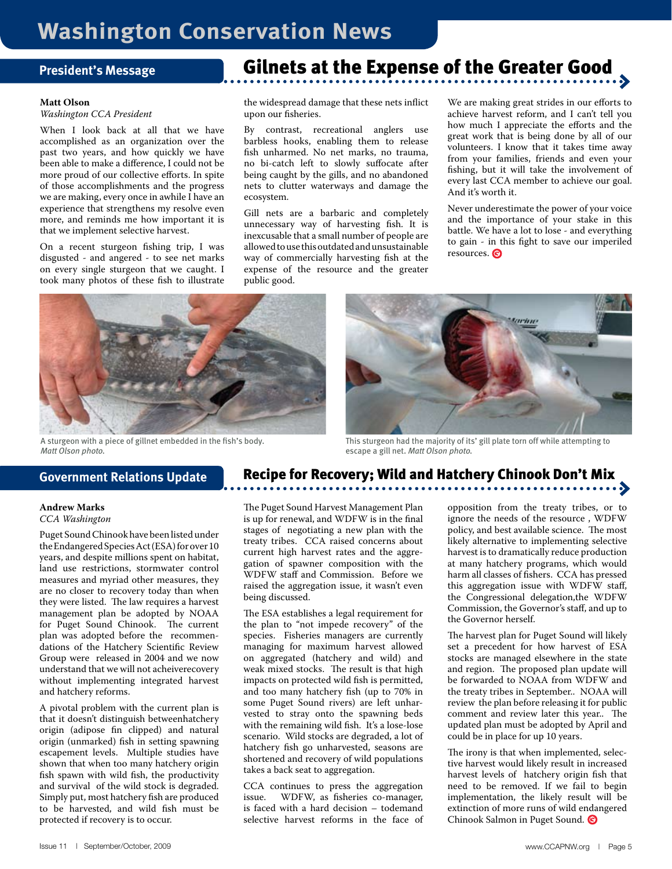#### **President's Message**

#### **Matt Olson**

*Washington CCA President*

When I look back at all that we have accomplished as an organization over the past two years, and how quickly we have been able to make a difference, I could not be more proud of our collective efforts. In spite of those accomplishments and the progress we are making, every once in awhile I have an experience that strengthens my resolve even more, and reminds me how important it is that we implement selective harvest.

On a recent sturgeon fishing trip, I was disgusted - and angered - to see net marks on every single sturgeon that we caught. I took many photos of these fish to illustrate

## Gilnets at the Expense of the Greater Good

the widespread damage that these nets inflict upon our fisheries.

By contrast, recreational anglers use barbless hooks, enabling them to release fish unharmed. No net marks, no trauma, no bi-catch left to slowly suffocate after being caught by the gills, and no abandoned nets to clutter waterways and damage the ecosystem.

Gill nets are a barbaric and completely unnecessary way of harvesting fish. It is inexcusable that a small number of people are allowed to use this outdated and unsustainable way of commercially harvesting fish at the expense of the resource and the greater public good.

We are making great strides in our efforts to achieve harvest reform, and I can't tell you how much I appreciate the efforts and the great work that is being done by all of our volunteers. I know that it takes time away from your families, friends and even your fishing, but it will take the involvement of every last CCA member to achieve our goal. And it's worth it.

Never underestimate the power of your voice and the importance of your stake in this battle. We have a lot to lose - and everything to gain - in this fight to save our imperiled resources.



A sturgeon with a piece of gillnet embedded in the fish's body. *Matt Olson photo.*

#### **Government Relations Update**

#### **Andrew Marks** *CCA Washington*

Puget Sound Chinook have been listed under the Endangered Species Act (ESA) for over 10 years, and despite millions spent on habitat, land use restrictions, stormwater control measures and myriad other measures, they are no closer to recovery today than when they were listed. The law requires a harvest management plan be adopted by NOAA for Puget Sound Chinook. The current plan was adopted before the recommendations of the Hatchery Scientific Review Group were released in 2004 and we now understand that we will not acheiverecovery without implementing integrated harvest and hatchery reforms.

A pivotal problem with the current plan is that it doesn't distinguish betweenhatchery origin (adipose fin clipped) and natural origin (unmarked) fish in setting spawning escapement levels. Multiple studies have shown that when too many hatchery origin fish spawn with wild fish, the productivity and survival of the wild stock is degraded. Simply put, most hatchery fish are produced to be harvested, and wild fish must be protected if recovery is to occur.

## Recipe for Recovery; Wild and Hatchery Chinook Don't Mix

escape a gill net. *Matt Olson photo.*

This sturgeon had the majority of its' gill plate torn off while attempting to

The Puget Sound Harvest Management Plan is up for renewal, and WDFW is in the final stages of negotiating a new plan with the treaty tribes. CCA raised concerns about current high harvest rates and the aggregation of spawner composition with the WDFW staff and Commission. Before we raised the aggregation issue, it wasn't even being discussed.

The ESA establishes a legal requirement for the plan to "not impede recovery" of the species. Fisheries managers are currently managing for maximum harvest allowed on aggregated (hatchery and wild) and weak mixed stocks. The result is that high impacts on protected wild fish is permitted, and too many hatchery fish (up to 70% in some Puget Sound rivers) are left unharvested to stray onto the spawning beds with the remaining wild fish. It's a lose-lose scenario. Wild stocks are degraded, a lot of hatchery fish go unharvested, seasons are shortened and recovery of wild populations takes a back seat to aggregation.

CCA continues to press the aggregation issue. WDFW, as fisheries co-manager, is faced with a hard decision – todemand selective harvest reforms in the face of opposition from the treaty tribes, or to ignore the needs of the resource , WDFW policy, and best available science. The most likely alternative to implementing selective harvest is to dramatically reduce production at many hatchery programs, which would harm all classes of fishers. CCA has pressed this aggregation issue with WDFW staff, the Congressional delegation,the WDFW Commission, the Governor's staff, and up to the Governor herself.

The harvest plan for Puget Sound will likely set a precedent for how harvest of ESA stocks are managed elsewhere in the state and region. The proposed plan update will be forwarded to NOAA from WDFW and the treaty tribes in September.. NOAA will review the plan before releasing it for public comment and review later this year.. The updated plan must be adopted by April and could be in place for up 10 years.

The irony is that when implemented, selective harvest would likely result in increased harvest levels of hatchery origin fish that need to be removed. If we fail to begin implementation, the likely result will be extinction of more runs of wild endangered Chinook Salmon in Puget Sound.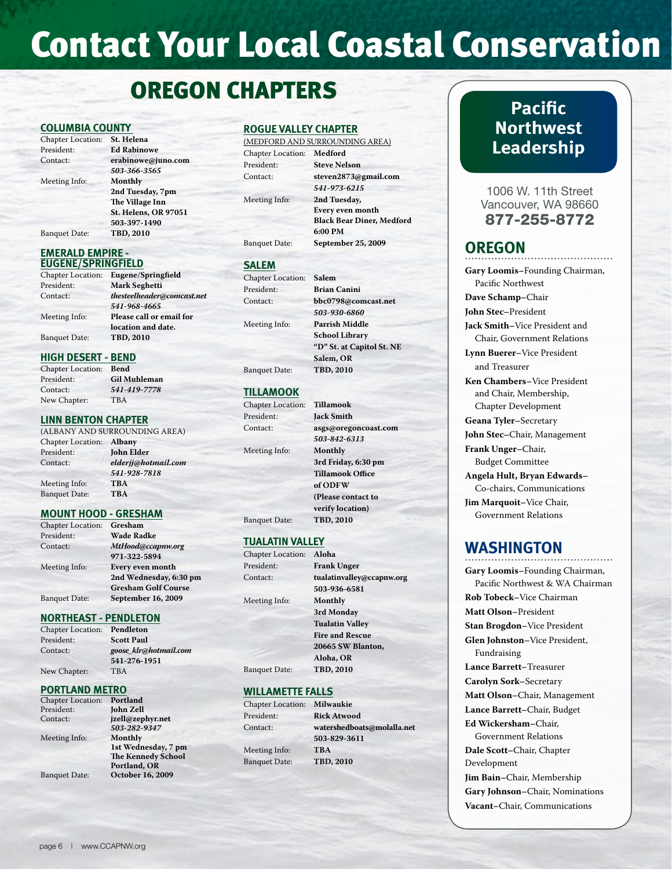## **Contact Your Local Coastal Conservation**

## OREGON CHAPTERS

#### **COLUMBIA COUNTY**

| <b>Chapter Location:</b> | St. Helena                  |
|--------------------------|-----------------------------|
| President:               | <b>Ed Rabinowe</b>          |
| Contact:                 | erabinowe@juno.com          |
|                          | 503-366-3565                |
| Meeting Info:            | Monthly                     |
|                          | 2nd Tuesday, 7pm            |
|                          | The Village Inn             |
|                          | <b>St. Helens, OR 97051</b> |
|                          | 503-397-1490                |
| <b>Banquet Date:</b>     | TBD, 2010                   |
|                          |                             |

#### **EMERALD EMPIRE - EUGENE/SPRINGFIELD**

| <b>Chapter Location:</b> | Eugene/Springfield         |
|--------------------------|----------------------------|
| President:               | <b>Mark Seghetti</b>       |
| Contact:                 | thesteelheader@comcast.net |
|                          | 541-968-4665               |
| Meeting Info:            | Please call or email for   |
|                          | location and date.         |
| <b>Banquet Date:</b>     | TBD, 2010                  |

Chapter Location: **Bend**

**Gil Muhleman** Contact: *541-419-7778* T<sub>B</sub>A

#### **HIGH DESERT - BEND**

| <b>Chapter Location</b> |
|-------------------------|
| President:              |
| Contact:                |
| New Chapter:            |

#### **LINN BENTON CHAPTER**

| (ALBANY AND SURROUNDING AREA) |
|-------------------------------|
| Chapter Location: Albany      |
| <b>John Elder</b>             |
| elderjj@hotmail.com           |
| 541-928-7818                  |
| <b>TBA</b>                    |
| <b>TBA</b>                    |
|                               |

#### **MOUNT HOOD - GRESHAM**

| <b>Chapter Location:</b> | Gresham                    |
|--------------------------|----------------------------|
| President:               | <b>Wade Radke</b>          |
| Contact:                 | MtHood@ccapnw.org          |
|                          | 971-322-5894               |
| Meeting Info:            | Every even month           |
|                          | 2nd Wednesday, 6:30 pm     |
|                          | <b>Gresham Golf Course</b> |
| <b>Banquet Date:</b>     | September 16, 2009         |

#### **NORTHEAST - PENDLETON**

| <b>Chapter Location:</b> | Pendleton             |
|--------------------------|-----------------------|
| President:               | <b>Scott Paul</b>     |
| Contact:                 | goose klr@hotmail.com |
|                          | 541-276-1951          |
| New Chapter:             | <b>TBA</b>            |

#### **PORTLAND METRO**

| Portland                  |
|---------------------------|
| <b>John Zell</b>          |
| jzell@zephyr.net          |
| 503-282-9347              |
| Monthly                   |
| 1st Wednesday, 7 pm       |
| <b>The Kennedy School</b> |
| Portland, OR              |
| October 16, 2009          |
|                           |

#### **ROGUE VALLEY CHAPTER**

|                           | (MEDFORD AND SURROUNDING AREA)   |
|---------------------------|----------------------------------|
| Chapter Location: Medford |                                  |
| President:                | <b>Steve Nelson</b>              |
| Contact:                  | steven2873@gmail.com             |
|                           | 541-973-6215                     |
| Meeting Info:             | 2nd Tuesday,                     |
|                           | <b>Every even month</b>          |
|                           | <b>Black Bear Diner, Medford</b> |
|                           | 6:00 PM                          |
| <b>Banquet Date:</b>      | September 25, 2009               |
|                           |                                  |

#### **SALEM**

```
Chapter Locati
President:
Context:Meeting Info:
```

| on: | Salem                     |
|-----|---------------------------|
|     | <b>Brian Canini</b>       |
|     | bbc0798@comcast.net       |
|     | 503-930-6860              |
|     | <b>Parrish Middle</b>     |
|     | <b>School Library</b>     |
|     | "D" St. at Capitol St. NE |
|     | Salem, OR                 |
|     | TBD, 2010                 |

#### **TILLAMOOK**

**Banquet Date:** 

| <b>Tillamook</b>        |
|-------------------------|
| <b>Jack Smith</b>       |
| asgs@oregoncoast.com    |
| 503-842-6313            |
| Monthly                 |
| 3rd Friday, 6:30 pm     |
| <b>Tillamook Office</b> |
| of ODFW                 |
| (Please contact to      |
| verify location)        |
| TBD, 2010               |
|                         |

#### **TUALATIN VALLEY**

| <b>Chapter Location:</b> | Aloha                     |
|--------------------------|---------------------------|
| President:               | <b>Frank Unger</b>        |
| Contact:                 | tualatinvalley@ccapnw.org |
|                          | 503-936-6581              |
| Meeting Info:            | Monthly                   |
|                          | 3rd Monday                |
|                          | <b>Tualatin Valley</b>    |
|                          | <b>Fire and Rescue</b>    |
|                          | 20665 SW Blanton,         |
|                          | Aloha, OR                 |
| <b>Banquet Date:</b>     | TBD, 2010                 |
|                          |                           |

#### **WILLAMETTE FALLS**

| Chapter Location: Milwaukie |                            |
|-----------------------------|----------------------------|
| President:                  | <b>Rick Atwood</b>         |
| Contact:                    | watershedboats@molalla.net |
|                             | 503-829-3611               |
| Meeting Info:               | <b>TBA</b>                 |
| <b>Banquet Date:</b>        | <b>TBD, 2010</b>           |
|                             |                            |

### **Pacific Northwest Leadership**

1006 W. 11th Street Vancouver, WA 98660 877-255-8772

### **OREGON**

**Gary Loomis–**Founding Chairman, Pacific Northwest **Dave Schamp–**Chair **John Stec–**President **Jack Smith–**Vice President and Chair, Government Relations **Lynn Buerer–**Vice President and Treasurer **Ken Chambers–**Vice President and Chair, Membership, Chapter Development **Geana Tyler–**Secretary **John Stec–**Chair, Management **Frank Unger–**Chair, Budget Committee **Angela Hult, Bryan Edwards–** Co-chairs, Communications **Jim Marquoit–**Vice Chair, Government Relations

### **WASHINGTON**

**Gary Loomis–**Founding Chairman, Pacific Northwest & WA Chairman **Rob Tobeck–**Vice Chairman **Matt Olson–**President **Stan Brogdon–**Vice President **Glen Johnston–**Vice President, Fundraising **Lance Barrett–**Treasurer **Carolyn Sork–**Secretary **Matt Olson–**Chair, Management **Lance Barrett–**Chair, Budget **Ed Wickersham–**Chair, Government Relations **Dale Scott–**Chair, Chapter Development **Jim Bain–**Chair, Membership **Gary Johnson–**Chair, Nominations **Vacant–**Chair, Communications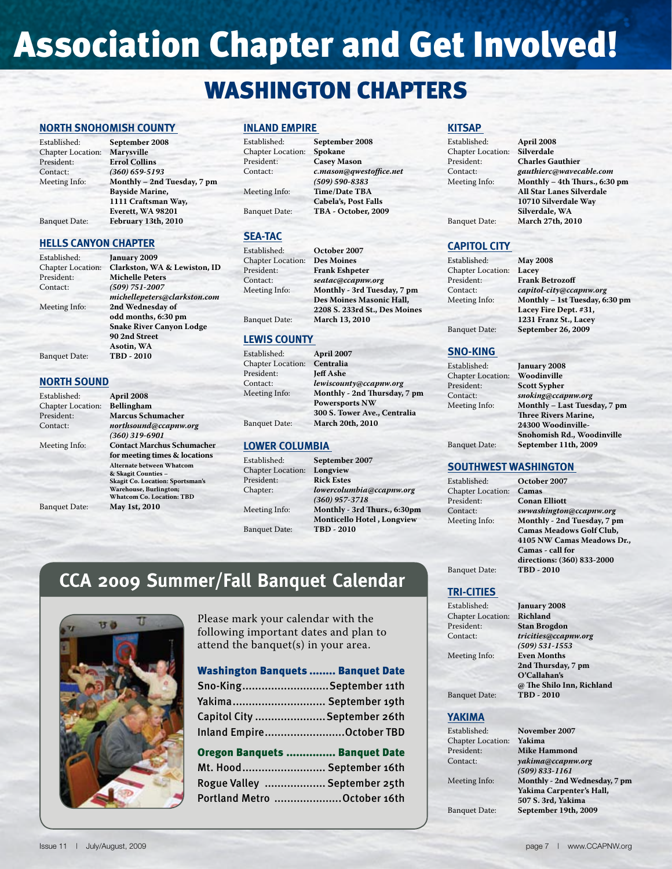# **Association Chapter and Get Involved!**

## WASHINGTON CHAPTERS

#### **NORTH SNOHOMISH COUNTY**

| September 2008              |
|-----------------------------|
| <b>Marysville</b>           |
| <b>Errol Collins</b>        |
| $(360) 659 - 5193$          |
| Monthly - 2nd Tuesday, 7 pm |
| <b>Bayside Marine,</b>      |
| 1111 Craftsman Way,         |
| Everett, WA 98201           |
| February 13th, 2010         |
|                             |

#### **HELLS CANYON CHAPTER**

| Established:             | January 2009                    |
|--------------------------|---------------------------------|
| <b>Chapter Location:</b> | Clarkston, WA & Lewiston, ID    |
| President:               | <b>Michelle Peters</b>          |
| Contact:                 | $(509) 751 - 2007$              |
|                          | michellepeters@clarkston.com    |
| Meeting Info:            | 2nd Wednesday of                |
|                          | odd months, 6:30 pm             |
|                          | <b>Snake River Canyon Lodge</b> |
|                          | 90 2nd Street                   |
|                          | Asotin, WA                      |
| <b>Banquet Date:</b>     | TBD - 2010                      |
|                          |                                 |

#### **NORTH SOUND**

| Established:             | April 2008                              |
|--------------------------|-----------------------------------------|
| <b>Chapter Location:</b> | <b>Bellingham</b>                       |
| President:               | <b>Marcus Schumacher</b>                |
| Contact:                 | northsound@ccapnw.org                   |
|                          | $(360)$ 319-6901                        |
| Meeting Info:            | <b>Contact Marchus Schumacher</b>       |
|                          | for meeting times & locations           |
|                          | Alternate between Whatcom               |
|                          | & Skagit Counties -                     |
|                          | <b>Skagit Co. Location: Sportsman's</b> |
|                          | Warehouse, Burlington;                  |
|                          | <b>Whatcom Co. Location: TBD</b>        |
| <b>Banquet Date:</b>     | May 1st, 2010                           |

#### **INLAND EMPIRE**

Established: **September 2008** Chapter Location:<br>President: President: **Casey Mason**<br>
Contact: **C.mason@awy** Meeting Info: **Time/Date TBA** Banquet Date: **TBA - October, 2009**

#### **SEA-TAC**

| Established:             | October 2007                  |
|--------------------------|-------------------------------|
| <b>Chapter Location:</b> | <b>Des Moines</b>             |
| President:               | <b>Frank Eshpeter</b>         |
| Contact:                 | seatac@ccapnw.org             |
| Meeting Info:            | Monthly - 3rd Tuesday, 7 pm   |
|                          | Des Moines Masonic Hall,      |
|                          | 2208 S. 233rd St., Des Moines |
| <b>Banquet Date:</b>     | March 13, 2010                |
|                          |                               |

 $c$ .mason@qwestoffice.net *(509) 590-8383*

**Cabela's, Post Falls**

#### **LEWIS COUNTY**

| April 2007                   |
|------------------------------|
| Centralia                    |
| <b>Jeff Ashe</b>             |
| lewiscounty@ccapnw.org       |
| Monthly - 2nd Thursday, 7 pm |
| <b>Powersports NW</b>        |
| 300 S. Tower Ave., Centralia |
| <b>March 20th, 2010</b>      |
|                              |

#### **LOWER COLUMBIA**

| Established:         | September 2007                    |
|----------------------|-----------------------------------|
| Chapter Location:    | Longview                          |
| President:           | <b>Rick Estes</b>                 |
| Chapter:             | lowercolumbia@ccapnw.org          |
|                      | $(360)$ 957-3718                  |
| Meeting Info:        | Monthly - 3rd Thurs., 6:30pm      |
|                      | <b>Monticello Hotel, Longview</b> |
| <b>Banquet Date:</b> | TBD - 2010                        |

## **CCA 2009 Summer/Fall Banquet Calendar**



Please mark your calendar with the following important dates and plan to attend the banquet(s) in your area.

#### Washington Banquets ........ Banquet Date

| Sno-KingSeptember 11th      |
|-----------------------------|
| Yakima September 19th       |
| Capitol City September 26th |
| Inland EmpireOctober TBD    |

#### Oregon Banquets ............... Banquet Date

| Mt. Hood September 16th      |  |
|------------------------------|--|
| Rogue Valley  September 25th |  |
| Portland Metro October 16th  |  |

#### **KITSAP**

Established: **April 2008** Chapter Location:<br>President:

President: **Charles Gauthier**<br>
Contact: *cauthierc@wavec* Contact: *gauthierc@wavecable.com*<br>Meeting Info: **Monthly - 4th Thurs., 6:30** Monthly - 4th Thurs., 6:30 pm **All Star Lanes Silverdale 10710 Silverdale Way Silverdale, WA** Banquet Date: **March 27th, 2010**

#### **CAPITOL CITY**

| Established:             | <b>May 2008</b>                |
|--------------------------|--------------------------------|
| <b>Chapter Location:</b> | Lacey                          |
| President:               | <b>Frank Betrozoff</b>         |
| Contact:                 | capitol-city@ccapnw.org        |
| Meeting Info:            | Monthly - 1st Tuesday, 6:30 pm |
|                          | Lacey Fire Dept. #31,          |
|                          | 1231 Franz St., Lacey          |
|                          |                                |

Banquet Date: **September 26, 2009**

#### **SNO-KING**

| January 2008                 |
|------------------------------|
| Woodinville                  |
| <b>Scott Sypher</b>          |
| snoking@ccapnw.org           |
| Monthly - Last Tuesday, 7 pm |
| <b>Three Rivers Marine,</b>  |
| 24300 Woodinville-           |
| Snohomish Rd., Woodinville   |
| September 11th, 2009         |
|                              |

Established: **May 2008**

#### **SOUTHWEST WASHINGTON**

Established: **October 2007** Chapter Location: **Camas** President: **Conan Elliott**<br>
Contact: **Symbolism** 

Contact: *swwashington@ccapnw.org*  Monthly - 2nd Tuesday, 7 pm **Camas Meadows Golf Club, 4105 NW Camas Meadows Dr., Camas - call for directions: (360) 833-2000**

**Banquet Date:** 

#### **TRI-CITIES**

Established: **January 2008** Chapter Location:<br>President: President: **Stan Brogdon**<br> **Contact:** tricities@ccan

**Meeting Info:** 

Contact: *tricities@ccapnw.org (509) 531-1553* **2nd Thursday, 7 pm O'Callahan's @ The Shilo Inn, Richland**

**Banquet Date:** 

#### **YAKIMA**

Established: **November 2007** Chapter Location:<br>President: President: **Mike Hammond**<br>Contact: *vakima@ccapnw* 

Contact: *yakima@ccapnw.org (509) 833-1161* Meeting Info: **Monthly - 2nd Wednesday, 7 pm Yakima Carpenter's Hall, 507 S. 3rd, Yakima** Banquet Date: **September 19th, 2009**